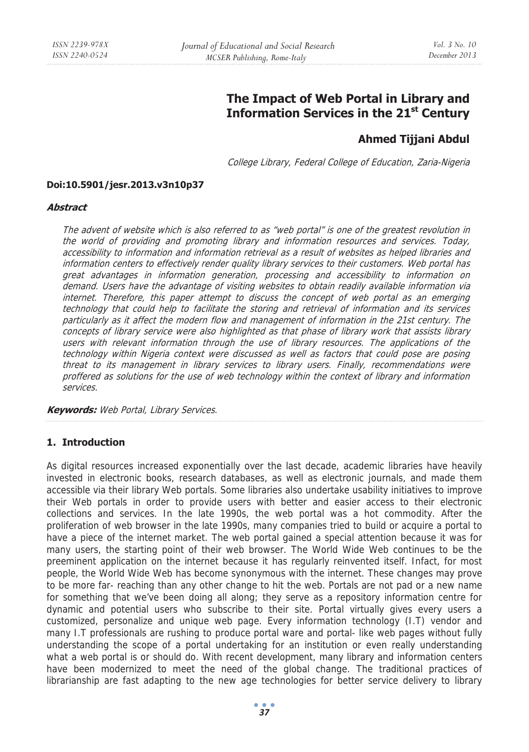# **The Impact of Web Portal in Library and Information Services in the 21st Century**

# **Ahmed Tijjani Abdul**

College Library, Federal College of Education, Zaria-Nigeria

#### **Doi:10.5901/jesr.2013.v3n10p37**

#### **Abstract**

The advent of website which is also referred to as "web portal" is one of the greatest revolution in the world of providing and promoting library and information resources and services. Today, accessibility to information and information retrieval as a result of websites as helped libraries and information centers to effectively render quality library services to their customers. Web portal has great advantages in information generation, processing and accessibility to information on demand. Users have the advantage of visiting websites to obtain readily available information via internet. Therefore, this paper attempt to discuss the concept of web portal as an emerging technology that could help to facilitate the storing and retrieval of information and its services particularly as it affect the modern flow and management of information in the 21st century. The concepts of library service were also highlighted as that phase of library work that assists library users with relevant information through the use of library resources. The applications of the technology within Nigeria context were discussed as well as factors that could pose are posing threat to its management in library services to library users. Finally, recommendations were proffered as solutions for the use of web technology within the context of library and information services.

**Keywords:** Web Portal, Library Services.

## **1. Introduction**

As digital resources increased exponentially over the last decade, academic libraries have heavily invested in electronic books, research databases, as well as electronic journals, and made them accessible via their library Web portals. Some libraries also undertake usability initiatives to improve their Web portals in order to provide users with better and easier access to their electronic collections and services. In the late 1990s, the web portal was a hot commodity. After the proliferation of web browser in the late 1990s, many companies tried to build or acquire a portal to have a piece of the internet market. The web portal gained a special attention because it was for many users, the starting point of their web browser. The World Wide Web continues to be the preeminent application on the internet because it has regularly reinvented itself. Infact, for most people, the World Wide Web has become synonymous with the internet. These changes may prove to be more far- reaching than any other change to hit the web. Portals are not pad or a new name for something that we've been doing all along; they serve as a repository information centre for dynamic and potential users who subscribe to their site. Portal virtually gives every users a customized, personalize and unique web page. Every information technology (I.T) vendor and many I.T professionals are rushing to produce portal ware and portal- like web pages without fully understanding the scope of a portal undertaking for an institution or even really understanding what a web portal is or should do. With recent development, many library and information centers have been modernized to meet the need of the global change. The traditional practices of librarianship are fast adapting to the new age technologies for better service delivery to library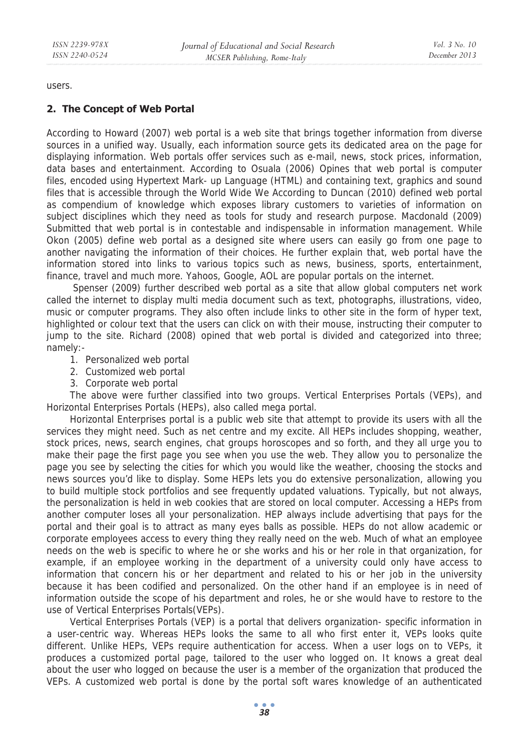users.

## **2. The Concept of Web Portal**

According to Howard (2007) web portal is a web site that brings together information from diverse sources in a unified way. Usually, each information source gets its dedicated area on the page for displaying information. Web portals offer services such as e-mail, news, stock prices, information, data bases and entertainment. According to Osuala (2006) Opines that web portal is computer files, encoded using Hypertext Mark- up Language (HTML) and containing text, graphics and sound files that is accessible through the World Wide We According to Duncan (2010) defined web portal as compendium of knowledge which exposes library customers to varieties of information on subject disciplines which they need as tools for study and research purpose. Macdonald (2009) Submitted that web portal is in contestable and indispensable in information management. While Okon (2005) define web portal as a designed site where users can easily go from one page to another navigating the information of their choices. He further explain that, web portal have the information stored into links to various topics such as news, business, sports, entertainment, finance, travel and much more. Yahoos, Google, AOL are popular portals on the internet.

 Spenser (2009) further described web portal as a site that allow global computers net work called the internet to display multi media document such as text, photographs, illustrations, video, music or computer programs. They also often include links to other site in the form of hyper text, highlighted or colour text that the users can click on with their mouse, instructing their computer to jump to the site. Richard (2008) opined that web portal is divided and categorized into three; namely:-

- 1. Personalized web portal
- 2. Customized web portal
- 3. Corporate web portal

The above were further classified into two groups. Vertical Enterprises Portals (VEPs), and Horizontal Enterprises Portals (HEPs), also called mega portal.

Horizontal Enterprises portal is a public web site that attempt to provide its users with all the services they might need. Such as net centre and my excite. All HEPs includes shopping, weather, stock prices, news, search engines, chat groups horoscopes and so forth, and they all urge you to make their page the first page you see when you use the web. They allow you to personalize the page you see by selecting the cities for which you would like the weather, choosing the stocks and news sources you'd like to display. Some HEPs lets you do extensive personalization, allowing you to build multiple stock portfolios and see frequently updated valuations. Typically, but not always, the personalization is held in web cookies that are stored on local computer. Accessing a HEPs from another computer loses all your personalization. HEP always include advertising that pays for the portal and their goal is to attract as many eyes balls as possible. HEPs do not allow academic or corporate employees access to every thing they really need on the web. Much of what an employee needs on the web is specific to where he or she works and his or her role in that organization, for example, if an employee working in the department of a university could only have access to information that concern his or her department and related to his or her job in the university because it has been codified and personalized. On the other hand if an employee is in need of information outside the scope of his department and roles, he or she would have to restore to the use of Vertical Enterprises Portals(VEPs).

Vertical Enterprises Portals (VEP) is a portal that delivers organization- specific information in a user-centric way. Whereas HEPs looks the same to all who first enter it, VEPs looks quite different. Unlike HEPs, VEPs require authentication for access. When a user logs on to VEPs, it produces a customized portal page, tailored to the user who logged on. It knows a great deal about the user who logged on because the user is a member of the organization that produced the VEPs. A customized web portal is done by the portal soft wares knowledge of an authenticated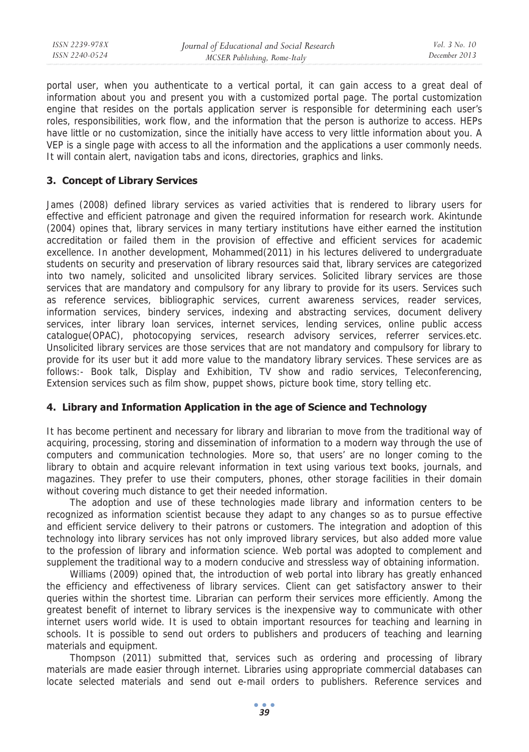portal user, when you authenticate to a vertical portal, it can gain access to a great deal of information about you and present you with a customized portal page. The portal customization engine that resides on the portals application server is responsible for determining each user's roles, responsibilities, work flow, and the information that the person is authorize to access. HEPs have little or no customization, since the initially have access to very little information about you. A VEP is a single page with access to all the information and the applications a user commonly needs. It will contain alert, navigation tabs and icons, directories, graphics and links.

# **3. Concept of Library Services**

James (2008) defined library services as varied activities that is rendered to library users for effective and efficient patronage and given the required information for research work. Akintunde (2004) opines that, library services in many tertiary institutions have either earned the institution accreditation or failed them in the provision of effective and efficient services for academic excellence. In another development, Mohammed(2011) in his lectures delivered to undergraduate students on security and preservation of library resources said that, library services are categorized into two namely, solicited and unsolicited library services. Solicited library services are those services that are mandatory and compulsory for any library to provide for its users. Services such as reference services, bibliographic services, current awareness services, reader services, information services, bindery services, indexing and abstracting services, document delivery services, inter library loan services, internet services, lending services, online public access catalogue(OPAC), photocopying services, research advisory services, referrer services.etc. Unsolicited library services are those services that are not mandatory and compulsory for library to provide for its user but it add more value to the mandatory library services. These services are as follows:- Book talk, Display and Exhibition, TV show and radio services, Teleconferencing, Extension services such as film show, puppet shows, picture book time, story telling etc.

# **4. Library and Information Application in the age of Science and Technology**

It has become pertinent and necessary for library and librarian to move from the traditional way of acquiring, processing, storing and dissemination of information to a modern way through the use of computers and communication technologies. More so, that users' are no longer coming to the library to obtain and acquire relevant information in text using various text books, journals, and magazines. They prefer to use their computers, phones, other storage facilities in their domain without covering much distance to get their needed information.

The adoption and use of these technologies made library and information centers to be recognized as information scientist because they adapt to any changes so as to pursue effective and efficient service delivery to their patrons or customers. The integration and adoption of this technology into library services has not only improved library services, but also added more value to the profession of library and information science. Web portal was adopted to complement and supplement the traditional way to a modern conducive and stressless way of obtaining information.

Williams (2009) opined that, the introduction of web portal into library has greatly enhanced the efficiency and effectiveness of library services. Client can get satisfactory answer to their queries within the shortest time. Librarian can perform their services more efficiently. Among the greatest benefit of internet to library services is the inexpensive way to communicate with other internet users world wide. It is used to obtain important resources for teaching and learning in schools. It is possible to send out orders to publishers and producers of teaching and learning materials and equipment.

Thompson (2011) submitted that, services such as ordering and processing of library materials are made easier through internet. Libraries using appropriate commercial databases can locate selected materials and send out e-mail orders to publishers. Reference services and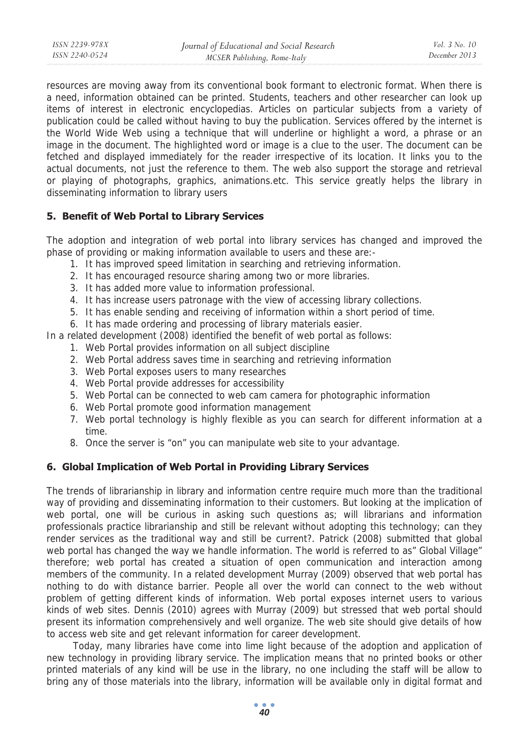resources are moving away from its conventional book formant to electronic format. When there is a need, information obtained can be printed. Students, teachers and other researcher can look up items of interest in electronic encyclopedias. Articles on particular subjects from a variety of publication could be called without having to buy the publication. Services offered by the internet is the World Wide Web using a technique that will underline or highlight a word, a phrase or an image in the document. The highlighted word or image is a clue to the user. The document can be fetched and displayed immediately for the reader irrespective of its location. It links you to the actual documents, not just the reference to them. The web also support the storage and retrieval or playing of photographs, graphics, animations.etc. This service greatly helps the library in disseminating information to library users

# **5. Benefit of Web Portal to Library Services**

*ISSN 2239-978X ISSN 2240-0524* 

The adoption and integration of web portal into library services has changed and improved the phase of providing or making information available to users and these are:-

- 1. It has improved speed limitation in searching and retrieving information.
- 2. It has encouraged resource sharing among two or more libraries.
- 3. It has added more value to information professional.
- 4. It has increase users patronage with the view of accessing library collections.
- 5. It has enable sending and receiving of information within a short period of time.
- 6. It has made ordering and processing of library materials easier.

In a related development (2008) identified the benefit of web portal as follows:

- 1. Web Portal provides information on all subject discipline
- 2. Web Portal address saves time in searching and retrieving information
- 3. Web Portal exposes users to many researches
- 4. Web Portal provide addresses for accessibility
- 5. Web Portal can be connected to web cam camera for photographic information
- 6. Web Portal promote good information management
- 7. Web portal technology is highly flexible as you can search for different information at a time.
- 8. Once the server is "on" you can manipulate web site to your advantage.

# **6. Global Implication of Web Portal in Providing Library Services**

The trends of librarianship in library and information centre require much more than the traditional way of providing and disseminating information to their customers. But looking at the implication of web portal, one will be curious in asking such questions as; will librarians and information professionals practice librarianship and still be relevant without adopting this technology; can they render services as the traditional way and still be current?. Patrick (2008) submitted that global web portal has changed the way we handle information. The world is referred to as" Global Village" therefore; web portal has created a situation of open communication and interaction among members of the community. In a related development Murray (2009) observed that web portal has nothing to do with distance barrier. People all over the world can connect to the web without problem of getting different kinds of information. Web portal exposes internet users to various kinds of web sites. Dennis (2010) agrees with Murray (2009) but stressed that web portal should present its information comprehensively and well organize. The web site should give details of how to access web site and get relevant information for career development.

 Today, many libraries have come into lime light because of the adoption and application of new technology in providing library service. The implication means that no printed books or other printed materials of any kind will be use in the library, no one including the staff will be allow to bring any of those materials into the library, information will be available only in digital format and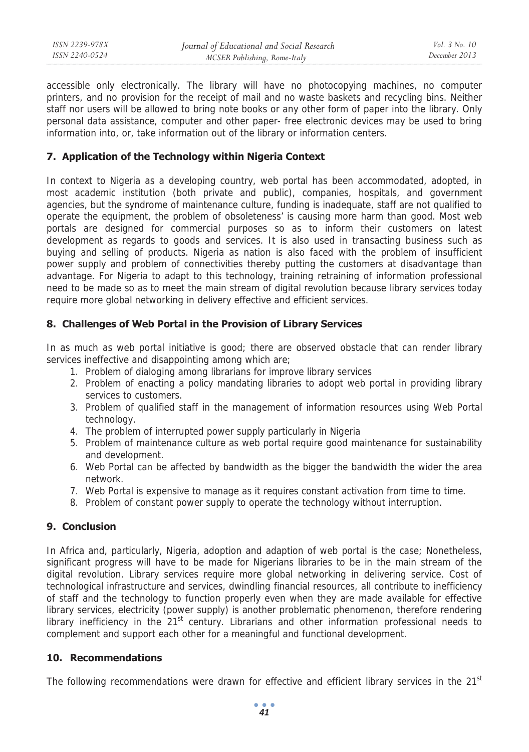accessible only electronically. The library will have no photocopying machines, no computer printers, and no provision for the receipt of mail and no waste baskets and recycling bins. Neither staff nor users will be allowed to bring note books or any other form of paper into the library. Only personal data assistance, computer and other paper- free electronic devices may be used to bring information into, or, take information out of the library or information centers.

# **7. Application of the Technology within Nigeria Context**

In context to Nigeria as a developing country, web portal has been accommodated, adopted, in most academic institution (both private and public), companies, hospitals, and government agencies, but the syndrome of maintenance culture, funding is inadequate, staff are not qualified to operate the equipment, the problem of obsoleteness' is causing more harm than good. Most web portals are designed for commercial purposes so as to inform their customers on latest development as regards to goods and services. It is also used in transacting business such as buying and selling of products. Nigeria as nation is also faced with the problem of insufficient power supply and problem of connectivities thereby putting the customers at disadvantage than advantage. For Nigeria to adapt to this technology, training retraining of information professional need to be made so as to meet the main stream of digital revolution because library services today require more global networking in delivery effective and efficient services.

# **8. Challenges of Web Portal in the Provision of Library Services**

In as much as web portal initiative is good; there are observed obstacle that can render library services ineffective and disappointing among which are;

- 1. Problem of dialoging among librarians for improve library services
- 2. Problem of enacting a policy mandating libraries to adopt web portal in providing library services to customers.
- 3. Problem of qualified staff in the management of information resources using Web Portal technology.
- 4. The problem of interrupted power supply particularly in Nigeria
- 5. Problem of maintenance culture as web portal require good maintenance for sustainability and development.
- 6. Web Portal can be affected by bandwidth as the bigger the bandwidth the wider the area network.
- 7. Web Portal is expensive to manage as it requires constant activation from time to time.
- 8. Problem of constant power supply to operate the technology without interruption.

## **9. Conclusion**

In Africa and, particularly, Nigeria, adoption and adaption of web portal is the case; Nonetheless, significant progress will have to be made for Nigerians libraries to be in the main stream of the digital revolution. Library services require more global networking in delivering service. Cost of technological infrastructure and services, dwindling financial resources, all contribute to inefficiency of staff and the technology to function properly even when they are made available for effective library services, electricity (power supply) is another problematic phenomenon, therefore rendering library inefficiency in the 21<sup>st</sup> century. Librarians and other information professional needs to complement and support each other for a meaningful and functional development.

## **10. Recommendations**

The following recommendations were drawn for effective and efficient library services in the  $21<sup>st</sup>$